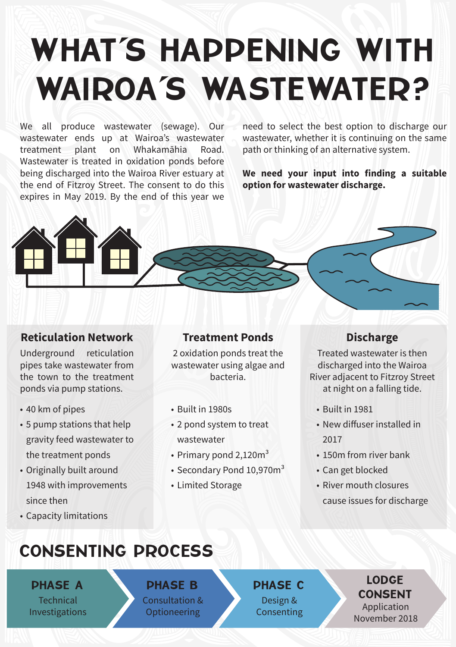# WHAT'S HAPPENING WITH WAIROA'S WASTEWATER?

We all produce wastewater (sewage). Our wastewater ends up at Wairoa's wastewater treatment plant on Whakamāhia Road. Wastewater is treated in oxidation ponds before being discharged into the Wairoa River estuary at the end of Fitzroy Street. The consent to do this expires in May 2019. By the end of this year we

need to select the best option to discharge our wastewater, whether it is continuing on the same path or thinking of an alternative system.

**We need your input into finding a suitable option for wastewater discharge.**



#### **Reticulation Network**

Underground reticulation pipes take wastewater from the town to the treatment ponds via pump stations.

- 40 km of pipes
- 5 pump stations that help gravity feed wastewater to the treatment ponds
- Originally built around 1948 with improvements since then
- Capacity limitations

#### **Treatment Ponds**

2 oxidation ponds treat the wastewater using algae and bacteria.

- Built in 1980s
- 2 pond system to treat wastewater
- Primary pond 2,120m<sup>3</sup>
- Secondary Pond 10,970m<sup>3</sup>
- Limited Storage

#### **Discharge**

Treated wastewater is then discharged into the Wairoa River adjacent to Fitzroy Street at night on a falling tide.

- Built in 1981
- New diffuser installed in 2017
- 150m from river bank
- Can get blocked
- River mouth closures cause issues for discharge

### CONSENTING PROCESS

PHASE A **Technical** Investigations

## PHASE B

Consultation & **Optioneering** 

PHASE C Design & Consenting

#### LODGE **CONSENT**

Application November 2018